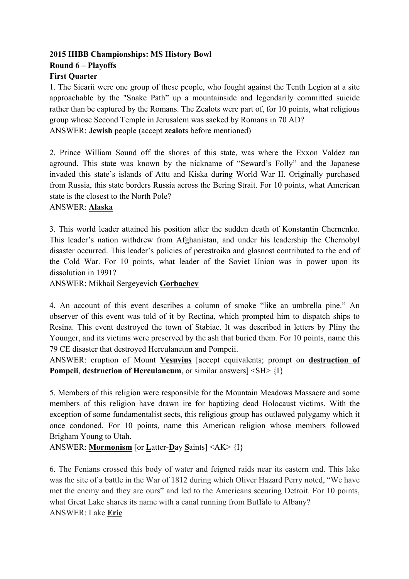## **2015 IHBB Championships: MS History Bowl Round 6 – Playoffs First Quarter**

1. The Sicarii were one group of these people, who fought against the Tenth Legion at a site approachable by the "Snake Path" up a mountainside and legendarily committed suicide rather than be captured by the Romans. The Zealots were part of, for 10 points, what religious group whose Second Temple in Jerusalem was sacked by Romans in 70 AD? ANSWER: **Jewish** people (accept **zealot**s before mentioned)

2. Prince William Sound off the shores of this state, was where the Exxon Valdez ran aground. This state was known by the nickname of "Seward's Folly" and the Japanese invaded this state's islands of Attu and Kiska during World War II. Originally purchased from Russia, this state borders Russia across the Bering Strait. For 10 points, what American state is the closest to the North Pole?

### ANSWER: **Alaska**

3. This world leader attained his position after the sudden death of Konstantin Chernenko. This leader's nation withdrew from Afghanistan, and under his leadership the Chernobyl disaster occurred. This leader's policies of perestroika and glasnost contributed to the end of the Cold War. For 10 points, what leader of the Soviet Union was in power upon its dissolution in 1991?

ANSWER: Mikhail Sergeyevich **Gorbachev**

4. An account of this event describes a column of smoke "like an umbrella pine." An observer of this event was told of it by Rectina, which prompted him to dispatch ships to Resina. This event destroyed the town of Stabiae. It was described in letters by Pliny the Younger, and its victims were preserved by the ash that buried them. For 10 points, name this 79 CE disaster that destroyed Herculaneum and Pompeii.

ANSWER: eruption of Mount **Vesuvius** [accept equivalents; prompt on **destruction of Pompeii**, **destruction of Herculaneum**, or similar answers]  $\langle SH \rangle$  {I}

5. Members of this religion were responsible for the Mountain Meadows Massacre and some members of this religion have drawn ire for baptizing dead Holocaust victims. With the exception of some fundamentalist sects, this religious group has outlawed polygamy which it once condoned. For 10 points, name this American religion whose members followed Brigham Young to Utah.

ANSWER: **Mormonism** [or **L**atter-**D**ay **S**aints] <AK> {I}

6. The Fenians crossed this body of water and feigned raids near its eastern end. This lake was the site of a battle in the War of 1812 during which Oliver Hazard Perry noted, "We have met the enemy and they are ours" and led to the Americans securing Detroit. For 10 points, what Great Lake shares its name with a canal running from Buffalo to Albany? ANSWER: Lake **Erie**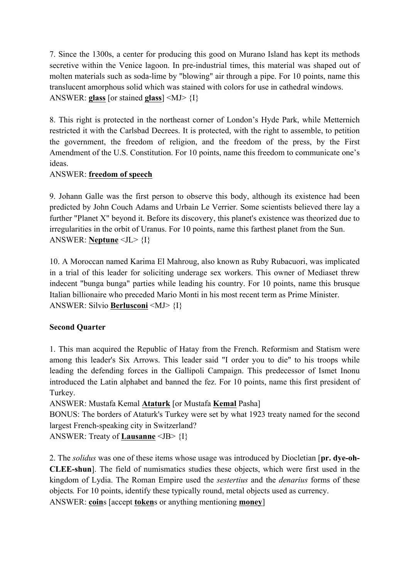7. Since the 1300s, a center for producing this good on Murano Island has kept its methods secretive within the Venice lagoon. In pre-industrial times, this material was shaped out of molten materials such as soda-lime by "blowing" air through a pipe. For 10 points, name this translucent amorphous solid which was stained with colors for use in cathedral windows. ANSWER: **glass** [or stained **glass**] <MJ> {I}

8. This right is protected in the northeast corner of London's Hyde Park, while Metternich restricted it with the Carlsbad Decrees. It is protected, with the right to assemble, to petition the government, the freedom of religion, and the freedom of the press, by the First Amendment of the U.S. Constitution. For 10 points, name this freedom to communicate one's ideas.

## ANSWER: **freedom of speech**

9. Johann Galle was the first person to observe this body, although its existence had been predicted by John Couch Adams and Urbain Le Verrier. Some scientists believed there lay a further "Planet X" beyond it. Before its discovery, this planet's existence was theorized due to irregularities in the orbit of Uranus. For 10 points, name this farthest planet from the Sun. ANSWER: **Neptune** <JL> {I}

10. A Moroccan named Karima El Mahroug, also known as Ruby Rubacuori, was implicated in a trial of this leader for soliciting underage sex workers. This owner of Mediaset threw indecent "bunga bunga" parties while leading his country. For 10 points, name this brusque Italian billionaire who preceded Mario Monti in his most recent term as Prime Minister. ANSWER: Silvio **Berlusconi** <MJ> {I}

# **Second Quarter**

1. This man acquired the Republic of Hatay from the French. Reformism and Statism were among this leader's Six Arrows. This leader said "I order you to die" to his troops while leading the defending forces in the Gallipoli Campaign. This predecessor of Ismet Inonu introduced the Latin alphabet and banned the fez. For 10 points, name this first president of Turkey.

ANSWER: Mustafa Kemal **Ataturk** [or Mustafa **Kemal** Pasha]

BONUS: The borders of Ataturk's Turkey were set by what 1923 treaty named for the second largest French-speaking city in Switzerland?

ANSWER: Treaty of **Lausanne** <JB> {I}

2. The *solidus* was one of these items whose usage was introduced by Diocletian [**pr. dye-oh-CLEE-shun**]. The field of numismatics studies these objects, which were first used in the kingdom of Lydia. The Roman Empire used the *sestertius* and the *denarius* forms of these objects*.* For 10 points, identify these typically round, metal objects used as currency. ANSWER: **coin**s [accept **token**s or anything mentioning **money**]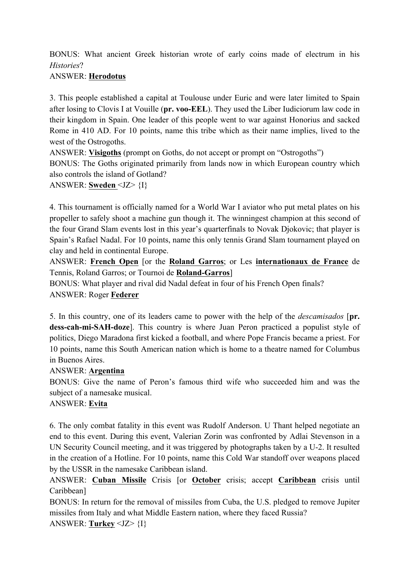BONUS: What ancient Greek historian wrote of early coins made of electrum in his *Histories*?

## ANSWER: **Herodotus**

3. This people established a capital at Toulouse under Euric and were later limited to Spain after losing to Clovis I at Vouille (**pr. voo-EEL**). They used the Liber Iudiciorum law code in their kingdom in Spain. One leader of this people went to war against Honorius and sacked Rome in 410 AD. For 10 points, name this tribe which as their name implies, lived to the west of the Ostrogoths.

ANSWER: **Visigoths** (prompt on Goths, do not accept or prompt on "Ostrogoths") BONUS: The Goths originated primarily from lands now in which European country which also controls the island of Gotland?

ANSWER: **Sweden** <JZ> {I}

4. This tournament is officially named for a World War I aviator who put metal plates on his propeller to safely shoot a machine gun though it. The winningest champion at this second of the four Grand Slam events lost in this year's quarterfinals to Novak Djokovic; that player is Spain's Rafael Nadal. For 10 points, name this only tennis Grand Slam tournament played on clay and held in continental Europe.

ANSWER: **French Open** [or the **Roland Garros**; or Les **internationaux de France** de Tennis, Roland Garros; or Tournoi de **Roland-Garros**]

BONUS: What player and rival did Nadal defeat in four of his French Open finals? ANSWER: Roger **Federer**

5. In this country, one of its leaders came to power with the help of the *descamisados* [**pr. dess-cah-mi-SAH-doze**]. This country is where Juan Peron practiced a populist style of politics, Diego Maradona first kicked a football, and where Pope Francis became a priest. For 10 points, name this South American nation which is home to a theatre named for Columbus in Buenos Aires.

## ANSWER: **Argentina**

BONUS: Give the name of Peron's famous third wife who succeeded him and was the subject of a namesake musical.

# ANSWER: **Evita**

6. The only combat fatality in this event was Rudolf Anderson. U Thant helped negotiate an end to this event. During this event, Valerian Zorin was confronted by Adlai Stevenson in a UN Security Council meeting, and it was triggered by photographs taken by a U-2. It resulted in the creation of a Hotline. For 10 points, name this Cold War standoff over weapons placed by the USSR in the namesake Caribbean island.

ANSWER: **Cuban Missile** Crisis [or **October** crisis; accept **Caribbean** crisis until Caribbean]

BONUS: In return for the removal of missiles from Cuba, the U.S. pledged to remove Jupiter missiles from Italy and what Middle Eastern nation, where they faced Russia?

ANSWER: **Turkey** <JZ> {I}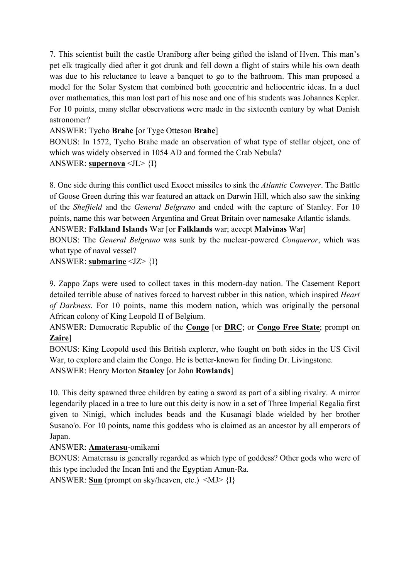7. This scientist built the castle Uraniborg after being gifted the island of Hven. This man's pet elk tragically died after it got drunk and fell down a flight of stairs while his own death was due to his reluctance to leave a banquet to go to the bathroom. This man proposed a model for the Solar System that combined both geocentric and heliocentric ideas. In a duel over mathematics, this man lost part of his nose and one of his students was Johannes Kepler. For 10 points, many stellar observations were made in the sixteenth century by what Danish astronomer?

ANSWER: Tycho **Brahe** [or Tyge Otteson **Brahe**]

BONUS: In 1572, Tycho Brahe made an observation of what type of stellar object, one of which was widely observed in 1054 AD and formed the Crab Nebula? ANSWER: **supernova** <JL> {I}

8. One side during this conflict used Exocet missiles to sink the *Atlantic Conveyer*. The Battle of Goose Green during this war featured an attack on Darwin Hill, which also saw the sinking of the *Sheffield* and the *General Belgrano* and ended with the capture of Stanley. For 10 points, name this war between Argentina and Great Britain over namesake Atlantic islands.

ANSWER: **Falkland Islands** War [or **Falklands** war; accept **Malvinas** War]

BONUS: The *General Belgrano* was sunk by the nuclear-powered *Conqueror*, which was what type of naval vessel?

ANSWER: **submarine** <JZ> {I}

9. Zappo Zaps were used to collect taxes in this modern-day nation. The Casement Report detailed terrible abuse of natives forced to harvest rubber in this nation, which inspired *Heart of Darkness*. For 10 points, name this modern nation, which was originally the personal African colony of King Leopold II of Belgium.

ANSWER: Democratic Republic of the **Congo** [or **DRC**; or **Congo Free State**; prompt on **Zaire**]

BONUS: King Leopold used this British explorer, who fought on both sides in the US Civil War, to explore and claim the Congo. He is better-known for finding Dr. Livingstone. ANSWER: Henry Morton **Stanley** [or John **Rowlands**]

10. This deity spawned three children by eating a sword as part of a sibling rivalry. A mirror legendarily placed in a tree to lure out this deity is now in a set of Three Imperial Regalia first given to Ninigi, which includes beads and the Kusanagi blade wielded by her brother Susano'o. For 10 points, name this goddess who is claimed as an ancestor by all emperors of Japan.

ANSWER: **Amaterasu**-omikami

BONUS: Amaterasu is generally regarded as which type of goddess? Other gods who were of this type included the Incan Inti and the Egyptian Amun-Ra.

ANSWER: **Sun** (prompt on sky/heaven, etc.)  $\langle MJ\rangle$  {I}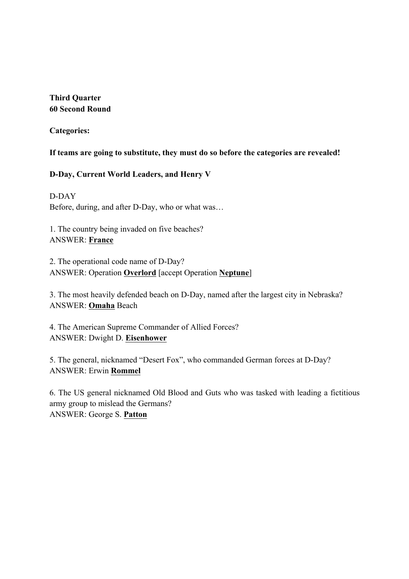### **Third Quarter 60 Second Round**

**Categories:**

### **If teams are going to substitute, they must do so before the categories are revealed!**

### **D-Day, Current World Leaders, and Henry V**

D-DAY Before, during, and after D-Day, who or what was…

1. The country being invaded on five beaches? ANSWER: **France**

2. The operational code name of D-Day? ANSWER: Operation **Overlord** [accept Operation **Neptune**]

3. The most heavily defended beach on D-Day, named after the largest city in Nebraska? ANSWER: **Omaha** Beach

4. The American Supreme Commander of Allied Forces? ANSWER: Dwight D. **Eisenhower**

5. The general, nicknamed "Desert Fox", who commanded German forces at D-Day? ANSWER: Erwin **Rommel**

6. The US general nicknamed Old Blood and Guts who was tasked with leading a fictitious army group to mislead the Germans? ANSWER: George S. **Patton**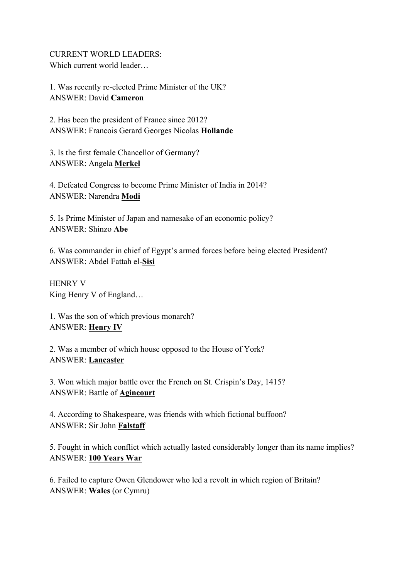CURRENT WORLD LEADERS: Which current world leader…

1. Was recently re-elected Prime Minister of the UK? ANSWER: David **Cameron**

2. Has been the president of France since 2012? ANSWER: Francois Gerard Georges Nicolas **Hollande**

3. Is the first female Chancellor of Germany? ANSWER: Angela **Merkel**

4. Defeated Congress to become Prime Minister of India in 2014? ANSWER: Narendra **Modi**

5. Is Prime Minister of Japan and namesake of an economic policy? ANSWER: Shinzo **Abe**

6. Was commander in chief of Egypt's armed forces before being elected President? ANSWER: Abdel Fattah el-**Sisi**

HENRY V King Henry V of England…

1. Was the son of which previous monarch? ANSWER: **Henry IV**

2. Was a member of which house opposed to the House of York? ANSWER: **Lancaster**

3. Won which major battle over the French on St. Crispin's Day, 1415? ANSWER: Battle of **Agincourt**

4. According to Shakespeare, was friends with which fictional buffoon? ANSWER: Sir John **Falstaff**

5. Fought in which conflict which actually lasted considerably longer than its name implies? ANSWER: **100 Years War**

6. Failed to capture Owen Glendower who led a revolt in which region of Britain? ANSWER: **Wales** (or Cymru)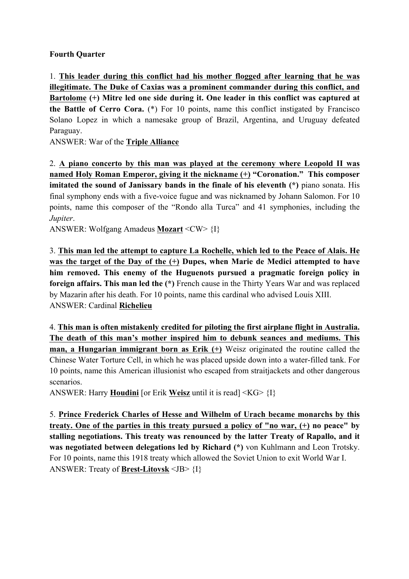### **Fourth Quarter**

1. **This leader during this conflict had his mother flogged after learning that he was illegitimate. The Duke of Caxias was a prominent commander during this conflict, and Bartolome (+) Mitre led one side during it. One leader in this conflict was captured at the Battle of Cerro Cora.** (\*) For 10 points, name this conflict instigated by Francisco Solano Lopez in which a namesake group of Brazil, Argentina, and Uruguay defeated Paraguay.

ANSWER: War of the **Triple Alliance**

2. **A piano concerto by this man was played at the ceremony where Leopold II was named Holy Roman Emperor, giving it the nickname (+) "Coronation." This composer imitated the sound of Janissary bands in the finale of his eleventh (\*)** piano sonata. His final symphony ends with a five-voice fugue and was nicknamed by Johann Salomon. For 10 points, name this composer of the "Rondo alla Turca" and 41 symphonies, including the *Jupiter*.

ANSWER: Wolfgang Amadeus **Mozart** <CW> {I}

3. **This man led the attempt to capture La Rochelle, which led to the Peace of Alais. He was the target of the Day of the (+) Dupes, when Marie de Medici attempted to have him removed. This enemy of the Huguenots pursued a pragmatic foreign policy in foreign affairs. This man led the (\*)** French cause in the Thirty Years War and was replaced by Mazarin after his death. For 10 points, name this cardinal who advised Louis XIII. ANSWER: Cardinal **Richelieu**

4. **This man is often mistakenly credited for piloting the first airplane flight in Australia. The death of this man's mother inspired him to debunk seances and mediums. This man, a Hungarian immigrant born as Erik (+)** Weisz originated the routine called the Chinese Water Torture Cell, in which he was placed upside down into a water-filled tank. For 10 points, name this American illusionist who escaped from straitjackets and other dangerous scenarios.

ANSWER: Harry **Houdini** [or Erik **Weisz** until it is read] <KG> {I}

5. **Prince Frederick Charles of Hesse and Wilhelm of Urach became monarchs by this treaty. One of the parties in this treaty pursued a policy of "no war, (+) no peace" by stalling negotiations. This treaty was renounced by the latter Treaty of Rapallo, and it was negotiated between delegations led by Richard (\*)** von Kuhlmann and Leon Trotsky. For 10 points, name this 1918 treaty which allowed the Soviet Union to exit World War I. ANSWER: Treaty of **Brest-Litovsk** <JB> {I}